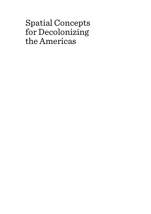# Spatial Concepts for Decolonizing the Americas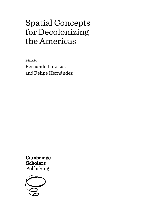# Spatial Concepts for Decolonizing the Americas

Edited by

Fernando Luiz Lara and Felipe Hernández

Cambridge **Scholars** Publishing

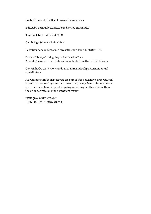Spatial Concepts for Decolonizing the Americas

Edited by Fernando Luiz Lara and Felipe Hernández

This book first published 2022

Cambridge Scholars Publishing

Lady Stephenson Library, Newcastle upon Tyne, NE6 2PA, UK

British Library Cataloguing in Publication Data A catalogue record for this book is available from the British Library

Copyright © 2022 by Fernando Luiz Lara and Felipe Hernández and contributors

All rights for this book reserved. No part of this book may be reproduced, stored in a retrieval system, or transmitted, in any form or by any means, electronic, mechanical, photocopying, recording or otherwise, without the prior permission of the copyright owner.

ISBN (10): 1-5275-7387-7 ISBN (13): 978-1-5275-7387-1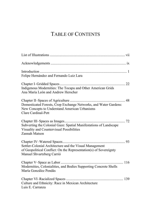## TABLE OF CONTENTS

| Felipe Hernández and Fernando Luiz Lara                                                                                                                   |
|-----------------------------------------------------------------------------------------------------------------------------------------------------------|
| Indigenous Modernities: The Tocapu and Other American Grids<br>Ana María León and Andrew Herscher                                                         |
| Domesticated Forests, Crop Exchange Networks, and Water Gardens:<br>New Concepts to Understand American Urbanisms<br>Clare Cardinal-Pett                  |
| Subverting the Colonial Gaze: Spatial Manifestations of Landscape<br>Visuality and Countervisual Possibilities<br>Zannah Matson                           |
| Settler-Colonial Architecture and the Visual Management<br>of Geopolitical Conflict: On the Representation(s) of Sovereignty<br>Manuel Shvartzberg Carrió |
| Modernities, Colonialities, and Bodies Supporting Concrete Shells<br>María González Pendás                                                                |
| Culture and Ethnicity: Race in Mexican Architecture<br>Luis E. Carranza                                                                                   |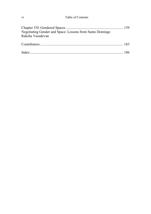## vi Table of Contents

| Negotiating Gender and Space: Lessons from Santo Domingo<br>Raksha Vasudevan |  |
|------------------------------------------------------------------------------|--|
|                                                                              |  |
|                                                                              |  |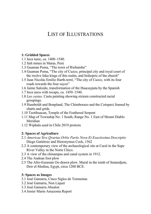## LIST OF ILLUSTRATIONS

### **1: Gridded Spaces**

- 1.1 Inca tunic, ca. 1400–1540.
- 1.2 Salt mines in Maras, Perú
- 1.3 Guaman Poma, "The town of Riobamba"
- 1.4 Guaman Poma, "The city of Cuzco, principal city and royal court of the twelve Inka kings of this realm, and bishopric of the church"
- 1.5 Juan Nicolás Emilio Harth-terré, "The city of Cuzco, with its four roads towards the four suyos"
- 1.6 Jaime Salcedo, transformation of the Huacaypata by the Spanish
- 1.7 Inca uncu with tocapu, ca. 1450–1540.
- 1.8 *Las castas*. Casta painting showing sixteen constructed racial groupings.
- 1.9 Humboldt and Bonpland, The Chimborazo and the Cotopaxi framed by charts and grids.
- 1.10 Teotihuacan, Temple of the Feathered Serpent
- 1.11 Map of Township No. 1 South, Range No. 1 East of Mount Diablo Meridian
- 1.12 Wiphala used in Chile 2019 protests

#### **2: Spaces of Agriculture**

- 2.1 *Americae Sive Qvartae Orbis Partis Nova Et Exactissima Descriptio*  Diego Gutiérrez and Hieronymus Cock, 1562
- 2.2 A contemporary view of the archaeological site at Caral in the Supe River Valley in the Norte Chico.
- 2.3 A view of the chinampas and canal system in 1912.
- 2.4 The Andean foot plow
- 2.5 The Afro-Eurasian Ox-drawn plow. Mural in the tomb of Sennedjem, Deir el-Medina, Egypt, circa 1200 BCE.

#### **3: Spaces as Images**

- 3.1 José Gamarra, Cinco Siglos de Tormentas
- 3.2 José Gamarra, Non Liquet
- 3.3 José Gamarra Absalon
- 3.4 Jonier Marin Amazonia Report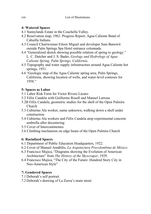## **4: Watered Spaces**

- 4.1 Sunnylands Estate in the Coachella Valley.
- 4.2 Reservation map, 1962. Progress Report, Agua Caliente Band of Cahuilla Indians.
- 4.3 Council Chairwoman Eileen Miguel and developer Sam Banowit outside Palm Springs Spa Hotel entrance colonnade.
- 4.4 "Generalized sketch showing possible relation of spring to geology." L. C. Dutcher and J. S. Bader, *Geology and Hydrology of Agua Caliente Spring, Palm Springs, California*.
- 4.5 Topography and water supply infrastructure around Agua Caliente hot springs, 1951.
- 4.6 "Geologic map of the Agua Caliente spring area, Palm Springs, California, showing location of wells, and water-level contours for 1958."

## **5: Spaces as Labor**

- 5.1 Labor Risk Form for Victor Rivero Lázaro
- 5.2 Félix Candela with Guillermo Rosell and Manuel Larrosa
- 5.2B Félix Candela, geometric studies for the shell of the Open Palmira Church
- 5.3 Cubiertas Ala worker, name unknown, walking down a shell under construction
- 5.4 Cubiertas Ala workers and Félix Candela atop experimental concrete umbrella after decentering
- 5.5 Cover of Intercontinentes
- 5.6 Climbing mechanism on edge beam of the Open Palmira Church

## **6: Racialized Spaces**

- 6.1 Department of Public Education Headquarters, 1922.
- 6.2 Cover of Manuel Amábilis, *La Arquitectura Precolombina de México*
- 6.3 Francisco Mujica, "Diagrams showing the Evolution of American Architecture" from *The History of the Skyscraper*, 1929.
- 6.4 Francisco Mujica, "The City of the Future: Hundred Story City in Neo-American Style"

## **7: Gendered Spaces**

- 7.1 Deborah's self portrait
- 7.2 Deborah's drawing of La Zurza's main street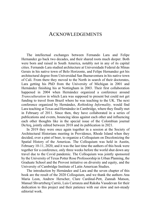## ACKNOWLEDGEMENTS

The intellectual exchanges between Fernando Lara and Felipe Hernandez go back two decades, and their shared roots much deeper. Both were born and raised in South America, notably not in any of its capital cities. Fernando Lara studied architecture at Universidade Federal de Minas Gerais in his native town of Belo Horizonte, and Felipe Hernandez got his architectural degree from Universidad San Buenaventura in his native town of Cali. From there they moved to the North in search of their doctorates, Lara getting his PhD from the University of Michigan in 2001 and Hernández finishing his at Nottingham in 2003. Their first collaboration happened in 2004 when Hernández organized a conference around *Transculturation* in which Lara was supposed to present but could not get funding to travel from Brazil where he was teaching to the UK. The next conference organized by Hernández, *Rethinking Informality,* would find Lara teaching at Texas and Hernández in Cambridge, where they finally met in February of 2011. Since then, they have collaborated in a series of publications and events, bouncing ideas against each other and influencing each other thoughts like in the special issue of the Colombian journal DeArq, jointly edited between 2018 and its publication in 2021.

In 2019 they were once again together in a session at the Society of Architectural Historians meeting in Providence, Rhode Island when they decided, over a pint of beer, to organize a Colloquium on Decolonizing the Spatial History of the Americas. The Colloquium was held in Austin, February 10-11, 2020, and it was the last time the authors of this book were together for a conference, only three weeks before the world shut down any travel due to the Covid pandemic. The Colloquium was jointly sponsored by the University of Texas Potter Rose Professorship in Urban Planning, the Graduate School and the Provost initiative on diversity and equity, and the University of Cambridge Institute of Latin American Studies.

The introduction by Hernández and Lara and the seven chapter of this book are the result of the 2020 Colloquium, and we thank the authors Ana Maria Leon, Andrew Herscher, Clare Cardinal-Pett, Zannah Matson, Manuel Shvartzberg Carrió, Luis Carranza and Raksha Vasudevan for their dedication to this project and their patience with our slow and not-steady editorial work.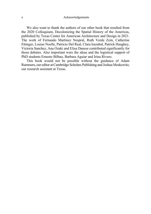#### x Acknowledgements

We also want to thank the authors of our other book that resulted from the 2020 Colloquium, Decolonizing the Spatial History of the Americas, published by Texas Center for American Architecture and Design in 2021. The work of Fernando Martinez Nespral, Ruth Verde Zein, Catherine Ettinger, Louise Noelle, Patricio Del Real, Clara Irazabal, Patrick Haughey, Victoria Sanchez, Ana Ozaki and Elisa Danese contributed significantly for those debates. Also important were the ideas and the logistical support of PhD students Ernesto Bilbao, Barbara Aguiar and Irina Rivero.

This book would not be possible without the guidance of Adam Rummers, our editor at Cambridge Scholars Publishing and Joshua Moskowitz, our research assistant at Texas.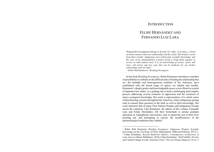## **INTRODUCTION**

## FELIPE HERNÁNDEZ AND FERNANDO LUIZ LARA

*Wiingaashk* [sweetgrass] *belongs to herself. So I offer, in its place, a braid of stories meant to heal our relationship with the world. This braid is woven from three strands: indigenous ways of knowing, scientific knowledge, and the story of an Anishinabekwe scientist trying to bring them together in service to what matters most. It is an intertwining of science, spirit, and story—old stories and new ones that can be medicine for our broken relationship with our land.*<sup>1</sup>

*—Robin Wall Kimmerer, Braiding Sweetgrass* 

In her book *Braiding Sweetgrass*, Robin Kimmerer introduces a number of possibilities to embark on the difficult task of healing the relationship that we, the multiple and heterogeneous residents of the Americas, have established with the broad range of spaces we inhabit and modify. Kimmerer's deeply poetic and knowledgeable prose is not offered as a point of departure but, rather, as a guiding star to lead a challenging and complex process addressing several centuries of oppression and the exclusion of native ecological knowledge. Her work is representative of a whole series of decolonizing currents throughout the Americas, where indigenous groups seek to reassert their presence in the land, as well as their knowledge. Her work intersects that of many First Nations Peoples and Indigenous Groups across the continent. Like Kimmerer, the editors of this volume, Fernando Lara and Felipe Hernández, left their homelands to pursue graduate education in Anglophonic universities, only to spend the rest of their lives pointing out, and attempting to correct, the insufficiencies of the epistemological traditions they inhabit.<sup>2</sup>

<sup>1</sup> Robin Wall Kimmerer, *Braiding Sweetgrass: Indigenous Wisdom, Scientific Knowledge and the Teachings of Plants* (Minneapolis: Milkweed Editions, 2015), x. 2 Felipe Hernández, *Beyond Modernist Masters: Contemporary Architecture in Latin America* (Basel; Birkhäuser, 2010); Felipe Hernández, "(In)Visibility, Poverty and Cultural Change in Latin American Cities," *Harvard Design Magazine* 34, no. 2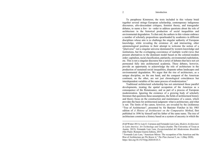#### Introduction

To paraphrase Kimmerer, the texts included in this volume braid together several strings–European scholarship, contemporary indigenous discourses, afro-descendant critiques, feminist theory, and transgender debates, to name a few– in—order to address questions about the role of architecture in the historical production of social inequalities and environmental degradation. To that end, the authors in this volume embrace a number of scholarly propositions spearheaded by academics in different disciplines whose aim is to challenge the singular authority of European knowledge, while revealing the existence of, and intersecting, other epistemological positions in their attempt to welcome the notion of a "pluriverse"–not a singular universe dominated by western knowledge and institutions, but the overlapping coexistence of multiple world-views that present alternatives to the dominant model based on the colonial-modern order: capitalism, racial classification, patriarchy, environmental exploitation, etc. This is not a singular discourse but a series of debates that have not yet permeated fully into architectural academia. These debates, however, provide an opportunity to acknowledge the role of architecture in the production of sustained social inequalities, disparate urban landscapes and environmental degradation. We argue that the rise of architecture, as a unique discipline, on the one hand, and the conquest of the American continent, on the other, are not just chronological coincidences but interdependent variables of the same process of modernization.3

Traditional architectural scholarship has not entertained those parallel developments, treating the spatial occupation of the Americas as a consequence of the Renaissance, and as part of a process of European modernization. Ignoring the existence of a growing body of scholarly literature that questions these assumptions, the fields of architectural history and theory focus on the construction and maintenance of a canon, which provides the basis for architectural judgment: what is architecture, and what is not. The limits of the canon, however, are revealed by the (in)famous "Tree of Architecture", presented by Sir Banister Fletcher in his 1903 edition of *A History of Architecture on the Comparative Method*, first published in 1896 by himself and his father of the same name. The tree of architecture constructs a history based on a system of ancestry in which the

<sup>(</sup>Fall/Winter 2011); Luis E. Carranza and Fernando Luiz Lara, *Modern Architecture in Latin America: Art Technology and Utopia* (Austin: The University of Texas at Austin, 2015); Fernando Luiz Lara, *Excepcionalidad del Modernismo Brasileño* (São Paulo: Romano Guerra Editora, 2019).

<sup>&</sup>lt;sup>3</sup> Fernando Luiz Lara, "American Mirror: The occupation of the Americas and the Rise of Architecture are We Know it," *The Plan Journal* 5, no. 1 (May 2020). https://doi.org/10.15274/tpj.2020.05.01.5.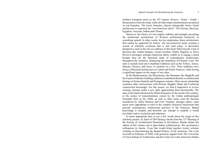northern European styles in the 18<sup>th</sup> century (Greece - Rome - Gothic -Renaissance) form the trunk, while all other major manifestations are placed on top branches. The lower branches, placed strategically below Greek architecture to represent the "non-historical styles": The Persian, Mexican, Egyptian, Assyrian, Indian and Chinese.

Moreover, the choice of a tree implies stability and strength, presenting the intellectual construction of Western architectural historicity as something natural. In other words, the tree undermines those architectures that cannot be supported by history –the non-historical styles–creating a system of scholarly exclusion that is still used today. A decolonial perspective such as the one we embrace in this book following the work of theorists like Anibal Quijano, Arturo Escobar, Walter Mignolo or Silvia Rivera Cusicanqui, amongst numerous others, enable us to engage a much broader base for the historical study of contemporary architectures throughout the Americas. Surpassing the limitations of Fletcher's tree. We seek to include local pre-Columbian traditions such as the Toltecs, Aztecs, Mayans, Paracas, and Incas, to mention on a few. Their traditions have always influenced architecture in Central and South America, while having a significant impact on the image of our cities.

In the Mediterranean, the Phoenicians, the Ottomans, the Maghribs and the Eastern Orthodox building traditions contributed directly to architectural heritage of former Spanish and Portuguese colonies. More recent scholarship examines other intersections with Persian, Mughal, Hindi and Confucian construction knowledge. For this reason, we find it imperative to review existing concepts under a new light, approaching them decolonially. The idea of the braid referenced by Robin Kimmerer in the twenty-first century, or the notion of transculturation coined by the Cuban anthropologist Fernando Ortis in the 1940s, as well as other terms such the rhizome introduced by Gilles Deleuze and Felix Guatarri, amongst others, seem much more appropriate to refer to the complex historical interactions that precede contemporary architectural practices in the Americas. Spatial knowledge is complex and therefore any attempt to simplify it would inevitably lead to exclusion and reduction.

It seems appropriate here to say a few words about the origin of this scholarly project. In April of 2019 during a break from the 72<sup>nd</sup> Meeting of the Society of Architectural Historians in Providence, Rhode Island, the editors of this volume met to plan further collaborations. We envisioned a colloquium in Austin, Texas that would bring together twenty scholars working on Decolonizing the Spatial History of the Americas. The event was held in February of 2020, with generous support from The University of Texas School of Architecture and the Center for Latin American Studies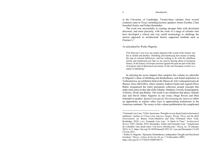#### Introduction

at the University of Cambridge. Twenty-three scholars from several countries came to Texas, including keynote speakers Arturo Escobar, Clara Irrazabal-Zurita, and Felipe Hernández.

The event was successfully in creating stronger links with decolonial discourse, and more precisely, with the work of a range of scholars who have developed a critical and very useful terminology to challenge the narrow approach to architectural history supported methods such as Fletcher's.<sup>4</sup>

As articulated by Walter Mignolo,

[T]o find one's own way one cannot depend of the words of the master; one has to delink and disobey. Delinking and disobeying here means avoiding the trap of colonial differences, and has nothing to do with the rebellious artistic and intellectual acts that we are used to hearing about in European history. In the history of Europe reactions against the past are part of the idea of progress and of dialectical movement. In the non-European world it is a matter of delinking.<sup>5</sup>

In selecting the seven chapters that comprise this volume we subscribe to Mignolo's ideas of delinking and disobedience, and found inspiration in Verboamerica, an exhibition held at the Museo de Arte Latinoamericano de Buenos Aires (MALBA), where curators Andrea Giunta and Agustín Perez Rubio reorganized the entire permanent collection around concepts that make more sense on this side of the Atlantic: Outskirts, Crowds, Emancipation, Violence, Work and Bodies. The result is an exhibition that places Alfredo Jaar and David Alfaro Siqueros in one room; Diego Rivera and Mira Schendel in another. *Spatial Concepts for Decolonizing the Americas* offers an opportunity to explore other ways to approaching architecture in the American continent. The essays in this volume problematize the complicated

4

<sup>4</sup> Fernando Luiz Lara, "Urbis Americana: Thoughts on our shared (and exclusionary) traditions," preface to *Urban Latin America: Images, Words, Flows and the Built Environment*, ed. Bianca Freire-Medeiros and Julia O'Donnell (New York: Routledge, 2018), x-xv; Fernando Luiz Lara, "A Stitch in Time," *Architectural Review* 1465, October 2019; Hernández, Felipe and Fernando Lara. "Arquitectura de Colombia vista desde fuera. Una breve introducción," *Dearq*, no. 29 (January 2021): 6-11. https://doi.org/10.18389/dearq29.2021.01; Lara and Hernandez CAAD UTexas 2021.

<sup>5</sup> Walter D. Mignolo, "Epistemic Disobedience, Independent Thought and Decolonial Freedom," *Theory, Culture & Society* 26, no. 7–8 (December 2009). https://doi.org/10.1177/0263276409349275.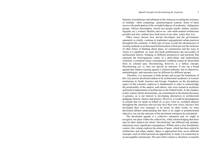histories of architecture and urbanism in the Americas revealing the existence of multiple –often competing– epistemological systems. Some of them uncover the participation of the excluded subjects of modernity –Indigenous groups, African descendants, mixed race people (pardo, mulato, mestizo, trigueño, etc.), women, Muslim, and so on– who made modern architecture possible and who, indeed, have built most of our cities, where they live.

Other essays discuss how private developers and the government, separately or jointly, continue to implement segregationist urban practices throughout the continent. A third type of essay reveals the obsolescence of existing methods or architectural historicization which prevent the inclusion of other forms of thinking about space, its construction and the ways in which it is inhabited. As such, this book problematizes the univocality of architectural history, bringing in different perspectives and positions that represent the heterogeneous reality of a pluri-ethnic and multicultural continent, a continent whose contemporary condition cannot be dissociated from its colonial past. Decolonizing, however, is a diffuse concept. Decolonizing, *per se*, does not specify an outcome. It sets out a broad agenda that implies reacting against a colonial authority, but its objectives, methodologies, and outcomes may be different for different groups.

 Therefore, it is necessary to both declare and accept the limitations of this very precise decolonial endeavor by architectural academics at western institutions in North America and Europe. Emphasis on the disciplinary aspect of this scholarly endeavor is fundamental in order to acknowledge the positionality of the authors, and editors, who were trained as architects and teach in departments of architecture in the Global North. As the chapters in this volume clearly demonstrate, our commitment to decolonial discourse is genuine, as is our interest in developing alternatives to architectural pedagogy (history, theory) and practice. However, it would be presumptuous to assume that we speak on behalf of, or give voice to, excluded subjects throughout the Americas who not only have their own voices, but have also developed their own strategies to be heard. In other words, we enter decolonial debates understanding that there is no single or predetermined objective, nor can the outcome of the decolonial enterprise be anticipated.

The decolonial agenda is a collective enterprise and we ought to recognize our place within the collectivity, while acknowledging that there may be other subjects for whom "decolonizing" has different and, perhaps, immensely more significant consequences. Within such a clear disciplinary context, this volume explores the notion of space, which has been central in architecture and urban studies. Space is approached from seven different concepts, each of which presents an opportunity to study it in connection to an inescapable colonial past. The aim of this volume is, therefore, to unsettle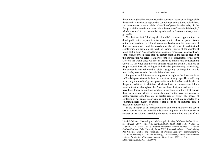#### Introduction

the colonizing implications embedded in concept of space by making visible the terms in which it was deployed to control populations during colonialism, and remains an expression of the coloniality of power in cities today.6 In the first part of this introduction we explore the notion of "decolonial thought," which is central to the decolonial agenda, and to decolonial theory more generally.

We believe that "thinking decolonially" provides opportunities to develop alternative ways to theorize space, and to delink the spatial history of the Americas from its colonial structures. To elucidate the importance of thinking decolonially, and the possibilities that it brings to architectural scholarship, we draw on the work of leading figures of the decolonial movement in Latin America, attempting construct productive interdisciplinary connections between fields that still remain apart. In the second section of this introduction we refer to a more recent set of circumstances that have affected the world since we met in Austin to initiate this conversation: Covid-19. The virus that infected, and has caused the death of, millions of people around the world testing us in the hardest possible way. Alarmingly, the pandemic has reiterated a global geography of inequality that is inextricably connected to the colonial-modern order.

Indigenous and Afro-descendant groups throughout the Americas have suffered disproportionately from the virus than other groups. Their suffering is not only the result of greater propensity to infection but, mainly, due to the poor conditions of habitation, which facilitate the transmission. Ethnoracial minorities throughout the Americas have lost jobs and income, or have been forced to continue working in perilous conditions that expose them to infection. Moreover, minority groups often have less access to health services and, thus, are at greater risk of dying. The spaces of contagion in our cities, in our nations, and in the world, are connected to a colonial-modern matrix of injustice that needs to be explored from a decolonial perspective as well.

In the third part of this introduction we explore the nature of the seven spatial concepts we use to enable a decolonial approach and introduce each chapter of the volume, describing the terms in which they are part of our

<sup>6</sup> Aníbal Quijano, "Coloniality and Modernity/Rationality," *Cultural Studies* 21, no. 2-3 (March 2007), https://doi.org/10.1080/09502380601164353; Walter D. Mignolo, *The Darker Side of Western Modernity: Global Futures, Decolonial Options* (Durham: Duke University Press, 2011); Ramón Grosfoguel, "Decolonizing Post-Colonial Studies and Paradigms of Political-Economy: Transmodernity, Decolonial Thinking, and Global Coloniality," *Transmodernity: Journal of Peripheral Cultural Production of the Luso-Hispanic World* 1, no. 1 (2011): 1-36, https://doi.org/10.5070/T411000004.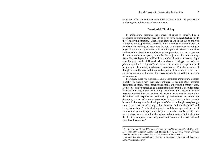collective effort to embrace decolonial discourse with the purpose of reviewing the architectures of our continent.

## **Decolonial Thinking**

In architectural discourse the concept of space is conceived as a receptacle, or container, that needs to be given form, and architecture fulfils the form-giving function.7 Discussions about space in the 1980s and 90s referred to philosophers like Descartes, Kant, Leibniz and Hume in order to elucidate the meaning of space and the role of the architect in giving it physical form and appearance. It is true that parallel debates at the time challenged the abstract nature of such an interpretation of space, proposing that *place*, rather than space, should be the subject architectural enquiry. According to this position, held by theorists who adhered to phenomenology –invoking the work of Husserl, Merleau-Ponty, Heidegger and others– *place* stands for "lived space" and, as such, it includes the experiences of people rather than merely its abstract characteristics. While both schools of thought were influential and stimulated important debates about architecture and its socio-cultural function, they were decidedly embedded in western epistemology.

Moreover, these two positions came to dominate architectural debates globally, in such a way that they continued to occlude other possible definitions of space, spatial practice and spatial experience. For that reason, architecture can be perceived as a colonizing discourse that occludes other forms of thinking, making and living. Decolonial thinking, as a form of practice, requires that we develop the mechanisms to engage those other definitions and experiences excluded by architecture as colonizing discourse, a form of western knowledge. Abstraction is a key concept because it ties together the development of Cartesian thought –cogito ergo sum as the marker of a separation between "mind/white/male" and "body/nature/other," or the thinking subject and the savage– with the rise of architecture as an independent discipline. In other words, architecture emerges as a distinct discipline during a period of increasing rationalization that led to a complex process of global stratification in the sixteenth and seventeenth centuries.<sup>8</sup>

<sup>7</sup> See for example, Bernard Tschumi, *Architecture and Disjunction* (Cambridge MA: MIT Press,1994); Jeffrey Kipnis and Thomas Leeser, *Chora L Works: Jacques Derrida and Peter Eisenman* (New York: Monacelli Press, 1997).<br><sup>8</sup> For a detailed discussion about abstraction in the context of decolonial theory see

Lara, "American Mirror."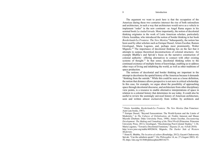#### Introduction

The argument we want to posit here is that the occupation of the Americas during these two centuries intersect the rise of both rationalism and architecture, in such a way that architecture would serve as a vehicle to implement "order" in the new continent –as Angel Rama argues in his seminal book *La ciudad letrada*. More importantly, the notion of decolonial thinking originates in the work of Latin American scholars, particularly Gloria Anzaldua, who introduced the notion of border thinking in her book *Borderlands/La Frontera: The New Mestiza.*<sup>9</sup> Subsequently, the notion has been used by other scholars such as Enrique Dussel, Arturo Escobar, Ramon Grosfoguel, Maria Lugones, and, perhaps most prominently, Walter Mignolo.10 The importance of decolonial thinking lies on the fact that it attempts to surpass theoretical deconstructions of colonial structures –for example Bhabha's and Spivak's focus on the narrative construction of colonial authority– offering alternatives to connect with other existing systems of thought.<sup>11</sup> In that sense, decolonial thinking refers to the continued existence of multiple forms of knowledge, enabling us to address other ways of living and inhabiting the world, as well as other traditions of space production.

The notions of decolonial and border thinking are important in the attempt to decolonize the spatial history of the Americas because it demands "thinking from the outside." While this could be seen as a loose definition, the notion that distance allows perspective is not new in critical scholarship. In this case, for example, we argue about the possibility of approaching space through decolonial discourse, and architecture from other disciplinary view points, is a resource to enable alternative interpretations of space in relation to a colonial history that determines its use today. It could also be useful to review the seemingly univocal history of American architecture, seen and written almost exclusively from within: by architects and

<sup>9</sup> Gloria Anzaldúa, *Borderlands/La Frontera: The New Mestiza* (San Francisco: Aunt Lute books, 1987).

<sup>&</sup>lt;sup>10</sup> Enrique Dussel, "Beyond Eurocentrism: The World-System and the Limits of Modernity," in *The Cultures of Globalization*, ed. Fredric Jameson and Masao Miyoshi (Durham: Duke University Press, 1998); Arturo Escobar, *Encountering Development: The Making and Unmaking of the Third World* (Princeton: Princeton University Press, 2011); Grosfoguel, "Decolonizing Post-Colonial Studies," 1-36; María Lugones, "Toward a Decolonial Feminism," *Hypatia* 25, no. 4 (Fall 2010): http://www.jstor.org/stable/40928654; Mignolo, *The Darker Side of Western* 

*Modernity*.

<sup>11</sup> Homi K. Bhabha, *The location of culture* (Routledge, 2012); Gayatri Chakravorty Spivak, "Can the subaltern speak?," *Die Philosophin* 14, no. 27 (August 2003): 42- 58, https://doi.org/10.5840/philosophin200314275.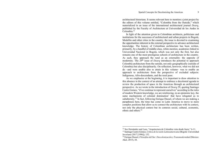architectural historians. It seems relevant here to mention a joint project by the editors of this volume entitled, "Colombia from the Outside," which materialized in an issue of the international architectural journal *Dearq*, published by the Faculty of Architecture at Universidad de los Andes in Colombia<sup>12</sup>

In light of the attention given to Colombian architects, politicians and institutions for the successes of architectural and urban projects in Bogotá, Medellin and other cities in the country, the issue is devoted to examining the opportunities inherent in the external perspective to advance architectural knowledge. The history of Colombian architecture has been written, primarily, by a handful of middle-class, white-mestizo, academics linked to Universidad Nacional in Bogotá, which was not only the first, but also remains one of the most prestigious schools of architecture in the country. As such, they approach the rural as an externality: the opposite of modernity. The 29<sup>th</sup> issue of *Dearg* introduces the potential to approach Colombia architecture from the outside, not only geographically (outside of Colombia) but also disciplinarily. On reflection, however, what we did not do –and were unable also to attain in this volume– was to enable an approach to architecture from the perspective of excluded subjects: Indigenous, Afro-descendants, and the rural poor.

As we emphasize at the beginning, it is important to draw attention to this absence in the context of an attempt to embrace a decolonial agenda to review the production of space in the Americas through an architectural perspective. As we wrote in the introduction of *Dearq* 29, quoting Santiago Castro Gomes, "if we continue to represent ourselves" according to the rules of modern Western knowledge, we are reinforcing, in an epistemic key, the same mechanisms of colonial domination' that have relegated us to subalternity.13 In fact, following Enrique Dussel, of whom we are making a paraphrasis here, the time has come in Latin America to move to more complex positions that allow us to connect the architecture with its context, not only the physical context but its contexts social, cultural, economic, ethnic and others.<sup>14</sup>

<sup>&</sup>lt;sup>12</sup> See Hernández and Lara, "Arquitectura de Colombia vista desde fuera," 6-11.

<sup>13</sup> Santiago Castro-Gómez, *Crítica de la razón Latinoamericana* (Bogotá: Universidad Javeriana (2017 [1996]), 152.

<sup>14</sup> Enrique Dussel, *Filosofías del Sur: Descolonización y Transmodernidad* (Mexico: Akal, 2015), 44.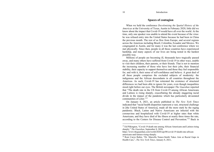## **Spaces of contagion**

When we held the conference *Decolonising the Spatial History of the Americas* at the University of Texas, Austin in February 2020, little did we know about the impact that Covid-19 would have all over the world. At the time, only one speaker was unable to attend the event because of the virus: he was refused entry into the United States because he had been in China the previous month. The rest of us flew from Europe, and several regions across the Americas including Brazil, Colombia, Ecuador and Mexico. We congregated in Austin, and for many it was the last conference where we met physically. Since then, people in all those countries have experienced hardship, and many aspects of our lives are being tested in the hardest possible way.

Millions of people are becoming ill, thousands have tragically passed away, and many others have suffered from Covid-19 in other ways, unable to visit their children, their parents, or their friends. That is not to mention the increasing number of those who have lost their jobs, their financial stability, their capacity to support themselves and those they feel responsible for, and with it, their sense of self-confidence and believe. A great deal of all these people comprises the excluded subjects of modernity: the indigenous and the African descendants in all countries throughout the Americas. As such, Covid-19 has reiterated the existence of structural differences we had been able to ignore for years, even though inequalities stood right before our eyes. The British newspaper *The Guardian* reported that "The death rate in the US from Covid-19 among African Americans and Latinos is rising sharply, exacerbating the already staggering racial divide in the impact of the pandemic which has particularly devastated communities of color."<sup>15</sup>

On January 8, 2021, an article published in *The New York Times* indicated that "racial health disparities represent a vast, structural challenge in [the United States of America], made all the more stark by the raging pandemic. Black, Latino and Native Americans are infected with the coronavirus and hospitalized with Covid-19 at higher rates than white Americans, and they have died of the illness at nearly three times the rate, according to the Centers for Disease Control and Prevention."16 Back in

<sup>&</sup>lt;sup>15</sup> Ed Pilkington, "Covid-19 death rate among African Americans and Latinos rising sharply," *The Guardian*, September 8, 2020,

https://www.theguardian.com/world/2020/sep/08/covid-19-death-rate-africanamericans-and-latinos-rising-sharply.

<sup>16</sup> Roni Caryn Rabin, "Dr. Marcella Nunez-Smith Takes Aim at Racial Gaps in Health Care,", *The New York Times*, January 8, 2021,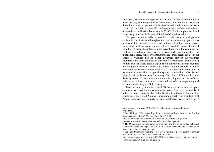June 2020, *The Guardian* reported that "Covid-19 first hit Brazil's white upper classes, who brought it back from abroad. Now the virus is scything through the country's poorer suburbs, favelas and low-income towns such as São João de Meriti – where 63% of the population self-declared as black or mixed race in Brazil's last census in  $2010.^{117}$  Similar reports are found about many countries in the rest of South and Central America.

The point we are at odds to make here is that such racial disparities confirm the fact that cities throughout the Americas retain segregated forms of urbanization that can be traced back to their colonial origin and Covid-19 has made such disparities starkly visible. If Covid-19 exposes the spatial condition of racial disparities in urban areas throughout the continent –as well as rural-urban divides that have been much less explored by the international press, but are evident nonetheless– more recent debates about access to vaccines disclose global disparities between the wealthier countries of the north and those in the south.18 Recent reports by the United Nations and the World Health Organization indicate that poorer countries will struggle to receive vaccines and, indeed, may not be able to initiate effective vaccination programs until 2024.19 In other words, the Covid-19 pandemic also reaffirms a global disparity connected to what Walter Mignolo call the darker side of modernity. The colonial difference that turns formerly colonized nations into a burden, reiterating that the lives of their citizens have a lesser value in the broader scheme of a contemporary global economy, just as they did 500 years ago.

More alarmingly, the article titled "Delayed Covid vaccines for poor countries 'will leave Europe vulnerable for years,"' converts the tragedy of billions of poor people in the Global South into a threat to Europe. The article cites the United Nations Humanitarian chief, who maintains that "poorer countries are unlikely to gain substantial access to Covid-19

https://www.nytimes.com/2021/01/08/health/coronavirus-marcella-nunezsmith.html.

<sup>17</sup> Dom Phillips, '"Enormous disparities': coronavirus death rates expose Brazil's deep racial inequalities," *The Guardian*, June 9, 2020,

https://www.theguardian.com/world/2020/jun/09/enormous-disparities-

coronavirus-death-rates-expose-brazils-deep-racial-inequalities

<sup>&</sup>lt;sup>18</sup> The Organization for Economic Co-Operation and Development has published extensively about the impact of Covid-19 in rural areas, and the challenges to manage the crisis across these areas.

<sup>&</sup>lt;sup>19</sup> See Peter Beaumont, "Scheme to get Covid vaccine to poorer countries at 'high risk' of failure," *The Guardian*, December 16, 2020,

https://www.theguardian.com/world/2020/dec/16/scheme-to-get-covid-vaccine-topoorer-countries-at-high-risk-of-failure;;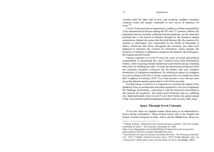vaccines until the latter half of next year, meaning wealthier European countries could still remain vulnerable to new waves of infection for years."20

Covid-19 also provides an opportunity to address colonial responsibility in the transmission of diseases during the  $16<sup>th</sup>$  and  $17<sup>th</sup>$  centuries. Indeed, the population that are currently suffering from the pandemic, are the same that perished due to the arrival of diseases brought by the European during colonization. Indeed, the notion that the mild diseases like the common flu, measles or chickenpox were responsible for the deaths of thousands of Native Americans and slaves throughout the continent, has often been deployed to minimize the violence of colonialism, which includes the massacre of millions of indigenous people by the Spanish, the Portuguese, the English and the French.

Current responses to Covid-19 stress the sense of social and political responsibility in transmitting the virus. Countries have close international borders, while imposing internal lockdowns to prevent the spread, imposing hefty fines for breaking the rules. As such, the transmission of diseases does not exonerate European colonizers for the deaths, and near complete destruction, of indigenous populations. By referring to spaces of contagion we want to bring to the fore a closely connected issue we would have been able to address in February 2020. Yet, it has become a very relevant issue given the inherent spatial aspects that Covid-19 has unveiled.

For that reason, we believe it is imperative to examine the impact of the pandemic from an architectural and urban perspective, but also to approach the challenge decolonially, connecting it with the historical circumstances that precede the pandemic. The ethno-racial minorities that are suffering now disproportionally from Covid-19 were there before the global spread of the virus and had suffered disproportionately from in many other ways.

## **Space Through Seven Concepts**

To be sure, there are multiple studies about space as an administrative device during colonialism.21 Most of these books refer to the English and French colonial enterprise in India, Africa and the Middle East. However,

<sup>20</sup> Patrick Wintour, "Delayed Covid vaccines for poor countries 'will leave Europe vulnerable for years,"' *The Guardian*, December 23, 2020,

https://www.theguardian.com/world/2020/dec/23/delayed-covid-vaccines-forpoor-countries-will-leave-europe-vulnerable-for-years.

<sup>21</sup> See (Dossal, M. *Imperial Designs and Indian Realities. The Planning of Bombay City, 1855-75* (Delhi: Oxford University Press, 1991); Keith, Michael. *After the cosmopolitan? Multicultural cities and the future of racism*. (Routledge, 2005);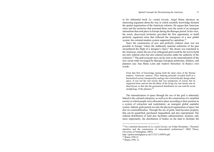in his influential book *La ciudad letrada*, Angel Rama advances an interesting argument about the way in which scientific knowledge dictated the spatial organization of the American colonies. He argues that American cities and the territories that surround them were the result of an emergent rationalism that took place in Europe during the Baroque period. In his view, the newly discovered territories provided the first opportunity to build perfectly organized cities that reflected the emergence of a new global system: the colonial-modern system supported by capitalism.<sup>22</sup>

Since the construction of new and perfectly ordered cities was not possible in Europe "where the stubbornly material sediments of the past encumbered the flight of a designer's fancy" this dream was translated to the Americas, where the use of an orthogonal grid would be the tool to build not only ordered cities but also ordered societies under the authority of the colonizer.23 The grid (concept one) can be seen as the materialization of the new social order envisaged by Baroque European politicians, thinkers, and planners (see Ana María León and Andrew Herscher). In Rama's own words:

From that flow of knowledge sprang forth the ideal cities of the Iberian empires' American vastness. Their ordering principle revealed itself as a hierarchical society transposed by analogy into a hierarchically design urban space. It was not the real society that was transposed, of course, but its organized form, and not into the fabric of the living city, but merely into its ideal layout, so that into the geometrical distribution we can read the social morphology of the planners.<sup>24</sup>

The rationalization of space through the use of the grid is inherently linked to the colonial enterprise, as well as to the construction of a stratified society in which people were allocated a place according to their position in a system of extraction and exploitation: an emergent global capitalist system. Indeed, grids permit not only the physical organization of space, but also its commodification. Through the use of grids, land becomes property that can be quantified, purchased, bequeathed, and also expropriated. The ordered distribution of land also facilitates administration, taxation, and, more importantly, the distribution of bodies on the land to facilitate the

<sup>22</sup> For a detailed discussion of *La ciudad letrada*, see Felipe Hernández, "Dynamic identities and the construction of transcultural architectures" (PhD Thesis, University of Nottingham, 2003),

http://eprints.nottingham.ac.uk/11323/1/289076.pdf.

 $23$  (Rama 1996:2)

<sup>24 (</sup>Rama 1996: 2)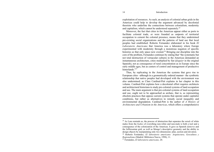exploitation of resources. As such, an analysis of colonial urban grids in the Americas could help to develop the argument advanced by decolonial theorists who underline the connections between colonialism, modernity and capitalism, which cannot be understood separately.25

Moreover, the fact that cities in the Americas appear either as ports to facilitate colonial trade, or were founded as outposts of territorial occupation to cement the colonial presence, means that they undermined pre-existing social organizations and the patterns of land use that local peoples had established. Roberto Fernandez elaborated in his book *El Laboratorio Americano* that America was a laboratory where Europe experimented with modernity through a monstrous negation of specific histories so that only space now existed.<sup>26</sup> Bringing our discipline into the core of the problem, Fernandez continues by stating that "the systematic but not total destruction of vernacular cultures in the Americas demanded an instantaneous architecture, cities multiplied by fiat (*doquier* in the original Spanish), not as consequence of rural concentration as in Europe since the early middle ages, but as centers of control and management of productive hinterlands<sup>"27</sup>

Thus, by replicating in the Americas the systems that gave rise to European cities –although in a geometrically ordered manner– the symbiotic relationship that native peoples had developed with the environment was also undermined; as Clare Cardinal-Pett explains in her chapter in this volume. Cardinal-Pett explains how a decolonial effort requires architects and architectural historians to study pre-colonial systems of land occupation and use. The main argument is that pre-colonial systems of land occupation and use, ought not to be approached as archaic, that is, as representing obsolete practices that oppose current systems that operate under capitalist conditions, but rather as alternatives to remedy social inequality and environmental degradation. Cardinal-Pett is the author of *A History of Architecture and Urbanism in the Americas*, which offers a comprehensive

<sup>25</sup> As Lara reminds us, the process of abstraction that separates the *minds* of white males from the *bodies* of everything non-white and non-male is both a tool and a consequence of the colonization of the Americas. It gave us Spanish *dameros* and the Jeffersonian grid, as well as Monge's descriptive geometry and the ability to design objects by manipulating only two dimensions: plan, section and elevation.

<sup>26</sup> Roberto Fernández, *El laboratorio americano: Arquitectura, Geocultura y Regionalismo* (Madrid: Biblioteca Nueva, 1998), 11.

<sup>27</sup> Fernández, *El laboratorio americano,* 20.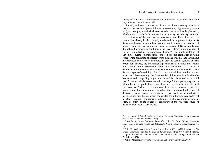survey of the story of architecture and urbanism in our continent from 15,000 bce to the  $20<sup>th</sup>$  century.<sup>28</sup>

Indeed, each one of the seven chapters explores a concept that links space to the matrix of power inherent in coloniality. Agriculture (concept two), for example, is intrinsically connected to spaces such as the plantation, which in turn reveals further connections to slavery. Yet slavery cannot be seen as feature of the past that we have overcome. Even if we were to assume that slavery has been legally eradicated –an argument that presents its own challenges– it would be extremely hard to question the existence of racism, economic deprivation and social exclusion of Black populations throughout the Americas, conditions which evolve from former practices of slavery: its afterlife, to paraphrase Fanon.<sup>29</sup> The implementation of agriculture during colonial times connoted specific techniques of using space for the harvesting of different crops in such a way that land throughout the Americas had to be re-distributed in order to sustain systems of mass production. Indeed, the Martiniquais psychoanalyst, activist and scholar Franz Fanon wrote extensively about "the plantation" as a space of dehumanization where Black slaves were subject to unimaginable cruelty for the purpose of sustaining colonial production and the extraction of other resources.30 More recently, the Cameroonian philosopher Achille Mbembe has advanced compelling arguments about "the plantation" as a "third space" that reveals the colonial-modern *necropolitics*, a political system in which the life people had less value than the crops their bodies cultivated and harvested. $31$  Moreover, forests were cleared in order to make space for large monoculture plantations degrading the enormous biodiversity of different regions across the continent. Local systems of production, irrigation and distribution, which had existed for millennia, were destroyed to satisfy European requirements under a new global economic system. As such, no study of the spaces of agriculture in the Americas could be detached from such a dark history.

<sup>28</sup> Clare Cardinal-Pett, *A History of Architecture and Urbanism in the Americas*  (New York: Taylor and Francis, 2016).

<sup>29</sup> Franz Fanon, "In the Caribbean, Birth of a Nation," in *Franz Fanon: Alienation and Freedom*, ed. Jean Khalfa and Robert J. C. Young (London: Bloomsbury, 2015 [1958]).

<sup>&</sup>lt;sup>30</sup> Felipe Hernández and Ángela Franco, "Urban Spaces of Fear and Disillusionment," in *Cities, Capitalism and the Politics of Sensibilities*, edited by Adrián Scribano, Margarita Camarena Luhrs and Ana Lucía Cervio (Cham: Springer International Publishing, 2021).

<sup>31</sup> Achille Mbembe, *Necropolitics* (Durham: Duke University Press, 2019).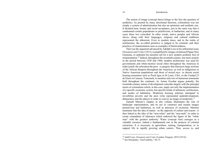The notion of image (concept three) brings to the fore the question of aesthetics. As posited by many decolonial theorists, colonialism was not simply a system of administration but also an epistemic and aesthetic one. It dictated taste, beauty and social acceptance, just in the same way that it condemned certain populations to primitivism, or barbarism; and in many cases these two coincided. In other words, native peoples and African slaves, along with their languages, religions and cultural traditions represented the abhorrent. Even in modern times, and in the realm of architecture, the so-called primitive is judged to be criminal, and their practices of ornamentation seen as examples of backwardness.

That was the argument advanced by Adolph Loos in his influential essay *Ornament and Crime* (1913), exemplified by images of tattooed Papau New Guineans, to underpin his moralist call for a new modern aesthetic free of ornamentation.32 Indeed, throughout the twentieth century, but more acutely in the period between 1930 and 1960, modern architecture was used by governments and white-mestizo social elites throughout the Americas in order justify the relocation the poor –a category that intersects large sections of the African diaspora throughout the Americas, as well as indigenous or Native American populations and those of mixed race– to decent social housing tenements such as Pruitt Igoe in St Louis, USA, or the Unidad 23 de Enero in Caracas, Venezuela, to mention only two of numerous tenements built throughout the continent. As Arturo Escobar argues potently, the twentieth-century notion of development coincides largely with the principal tenets of colonialism which, in this case, imply not only the implementation of a specific economic system, but specific kinds of urbanism, architecture, and modes of habitation. Modernist housing schemes attempted to invisibilize poverty and the poor (who represented underdevelopment, debauchery and the abject) in order to convey an image of modernity.33

Zannah Matson's chapter in this volume illuminates the role of landscape representation, and its use to construct and sustain images primitivism and barbarism, as well as practices of exclusion. Marston maintains that the idea of nature –as the opposite of culture and reason– is thus linked to the idea of the "non-white" and the "non-male" in order to create conundrum of otherness which endowed the figure of the "white man" with the greatest authority. Water (concept four) emerges as a valuable resource, indeed a fundamental one in the projects of colonial extraction. It is necessary in agriculture, mining, transportation, or to support life in rapidly growing urban centers. Thus, access to, and

<sup>32</sup> Adolf Loos, *Ornament and Crime* (London: Penguin, 2019 [1913]).

<sup>33</sup> See Hernández, "(In)Visibility," 66-75.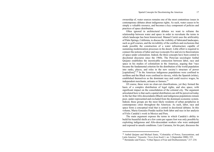ownership of, water sources remains one of the most contentious issues in contemporary debates about indigenous rights. As such, water ceases to be simply a valuable resource, and becomes a key component of policies and practices of space distribution.

Often ignored in architectural debates we want to reframe the relationship between water and space in order to reevaluate the terms in which landscape has been historicized. Manuel Carrió uses the artificiality of Palm Springs, California, to discuss the visibility of fabricated landscapes, such as golf courses, and the invisibility of the conflicts and exclusions that made possible the construction of a water infrastructure capable of sustaining modernization processes in the desert. Little effort is required to connect the notions of labor and race (concepts five and six) to theorizations of space under colonialism. Indeed, the three concepts have been central to decolonial discourse since the 1960s. The Peruvian sociologist Anibal Quijano establishes the inextricable connection between labor, race and space in his studies of colonialism in the Americas, arguing that "race became the fundamental criterion for the distribution of the world population into ranks, places, and roles in the new society's structure of power [capitalism]<sup>".34</sup> In the Americas indigenous populations were confined to serfdom and the Black were confined to slavery, while the Spanish (white), established themselves as the dominant race and could receive wages, be independent merchants, artisans or farmers.35

Of course, these were no clear-cut classifications, yet they formed the basis of a complex distribution of legal rights, and also space, with significant impact on the consolidation of the colonial city. The argument articulated here is that such a spatial distribution can still be perceived today in the fact that Afro-descendants (Black) and indigenous populations remain poor, under-represented and excluded from the dominant economic system. Indeed, these groups are the most likely residents of urban peripheries in contemporary cities throughout the Americas. As such, labor, race and space form a conceptual triad that is central in decolonial debates. In this volume, Maria Gonzales Pendás tackles both labor and race in her analysis of Felix Candela's work in Mexico and Peru.

The main argument exposes the terms in which Candela's ability to build his beautiful shells at a few cents per square foot was only possible by exploiting indigenous and Afro-descendant workers who were underpaid and exposed to unsafe conditions. Luiz Carranza, for his part, discusses the

<sup>34</sup> Anibal Quijano and Michael Ennis, "Coloniality of Power, Eurocentrism, and Latin America," *Nepantla: Views from South* 1, no. 3 (September 2000): 535.

<sup>35</sup> Hernández and Franco, "Urban Spaces of Fear and Disillusionment," 217–234.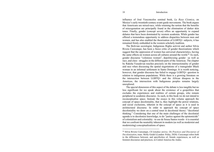#### Introduction

influence of José Vasconcelos seminal book, *La Raza Cósmica*, on Mexico's early twentieth-century avant-garde movements. The book argues that Americans are mixed-race, while retaining the notion that the benefits of miscegenation are principally found in the elimination of darker skin tones. Finally, gender (concept seven) offers an opportunity to expand debates that have been dominated by western academia. While gender has offered a tremendous opportunity to address disparities between men and women, and has also enabled the theorization of LGBTQ+ subjects, it has remained firmly embedded in the western scholarly tradition.

The Bolivian sociologist, Indigenous Rights activist and author Silvia Rivera Cusicanqui, has been a fierce critic of gender theorizations which suggest that the oppression of women has universal characteristics, having the same effects on women across all cultures around the world.<sup>36</sup> As such, gender discourse "colonizes women", depoliticizing gender –as well as race, and class– struggles in the different parts of the Americas. The chapter by Raksha Vasudevan touches precisely on the intersectionality of gender and race when discussing the spatial negotiations of a transgender Black woman in an informal settlement in Santo Domingo. It is worth noticing, however, that gender discourse has failed to engage LGBTQ+ question in relation to indigenous populations. While there is a growing literature on the intersection between LGBTQ+ and the African diaspora in the Americas, the intersection with Indigenous peoples remains largely unexplored.

The special dimension of this aspect of the debate is less tangible but no less significant for we speak about the existence of a geopolitics that excludes the experiences and realities of certain groups, who remain peripheral to academic discourse. As such, in this book we do not intend to reconceptualize space. Instead, the essays in this volume approach the concept of space decoloniality, that is, they highlight the power relations, and social exclusions, inherent in the concept of space as it is used in architectural discourse. In order to approach the concept of space decoloniality we draw on a central tenet in decolonial theory: "decolonial thinking." Considering that one of the main challenges of the decolonial agenda is to decolonize knowledge, to do "justice against the epistemicide" of colonialism and coloniality –to use de Sousa Santos words– it is essential that we confront the neutrality inherent in modern (as well as modernist and modernizing) conceptualizations of space.

<sup>36</sup> Silvia Rivera Cusicanqui, *Ch'ixinakax utxiwa. On Practices and Discourses of Decolonisation*, trans. Molly Geidel (London: Polity, 2020). Cusicanqui refers both to the differences between, and specificities of, female experiences, as well as feminist discourses and practices, in Central America the Andes.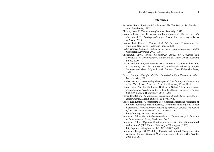### **References**

- Anzaldúa, Gloria. *Borderlands/La Frontera: The New Mestiza*. San Francisco: Aunt Lute books, 1987.
- Bhabha, Homi K. *The location of culture*. Routledge, 2012.
- Carranza, Luis E. and Fernando Luiz Lara. *Modern Architecture in Latin America: Art Technology and Utopia.* Austin: The University of Texas at Austin, 2015.
- Cardinal-Pett, Clare. *A History of Architecture and Urbanism in the Americas.* New York: Taylor and Francis, 2016.
- Castro-Gómez, Santiago. *Crítica de la razón Latinoamericana*. Bogotá: Universidad Javeriana, 2017 (1996).
- Cusicanqui, Silvia Rivera. *Ch'ixinakax utxiwa. On Practices and Discourses of Decolonisation*. Translated by Molly Geidel. London: Polity, 2020.
- Dussel, Enrique. "Beyond Eurocentrism: The World-System and the Limits of Modernity." In *The Cultures of Globalization*, edited by Fredric Jameson and Masao Miyoshi, 3-31. Durham: Duke University Press, 1998.
- Dussel, Enrique. *Filosofías del Sur: Descolonización y Transmodernidad*. Mexico: Akal, 2015.
- Escobar, Arturo. *Encountering Development: The Making and Unmaking of the Third World*. Princeton: Princeton University Press, 2011.
- Fanon, Franz. "In the Caribbean, Birth of a Nation." In *Franz Fanon: Alienation and Freedom*, edited by Jean Khalfa and Robert J. C. Young, 583-590. London: Bloomsbury, 2015 [1958].
- Fernández, Roberto. *El laboratorio americano: Arquitectura, Geocultura y Regionalismo*. Madrid: Biblioteca Nueva, 1998.
- Grosfoguel, Ramón. "Decolonizing Post-Colonial Studies and Paradigms of Political-Economy: Transmodernity, Decolonial Thinking, and Global Coloniality." *Transmodernity: Journal of Peripheral Cultural Production of the Luso-Hispanic World* 1, no. 1 (2011): 1-36. https://doi.org/10.5070/T411000004.
- Hernández, Felipe. *Beyond Modernist Masters: Contemporary Architecture in Latin America.* Basel; Birkhäuser, 2010.
- Hernández, Felipe. "Dynamic identities and the construction of transcultural architectures" (PhD Thesis, University of Nottingham, 2003). http://eprints.nottingham.ac.uk/11323/1/289076.pdf.
- Hernández, Felipe. "(In)Visibility, Poverty and Cultural Change in Latin American Cities," *Harvard Design Magazine* 34, no. 2 (Fall/Winter 2011): 66-75.